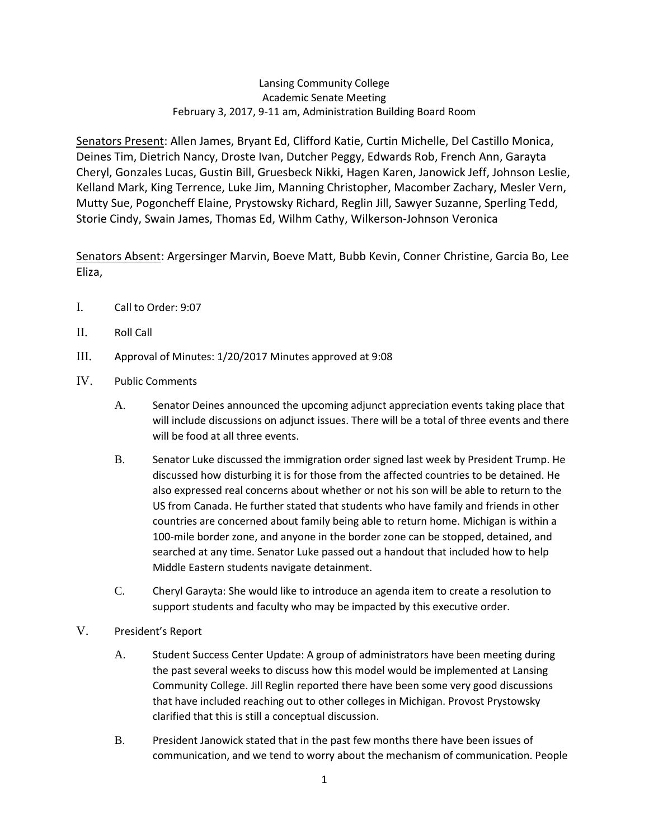## Lansing Community College Academic Senate Meeting February 3, 2017, 9-11 am, Administration Building Board Room

Senators Present: Allen James, Bryant Ed, Clifford Katie, Curtin Michelle, Del Castillo Monica, Deines Tim, Dietrich Nancy, Droste Ivan, Dutcher Peggy, Edwards Rob, French Ann, Garayta Cheryl, Gonzales Lucas, Gustin Bill, Gruesbeck Nikki, Hagen Karen, Janowick Jeff, Johnson Leslie, Kelland Mark, King Terrence, Luke Jim, Manning Christopher, Macomber Zachary, Mesler Vern, Mutty Sue, Pogoncheff Elaine, Prystowsky Richard, Reglin Jill, Sawyer Suzanne, Sperling Tedd, Storie Cindy, Swain James, Thomas Ed, Wilhm Cathy, Wilkerson-Johnson Veronica

Senators Absent: Argersinger Marvin, Boeve Matt, Bubb Kevin, Conner Christine, Garcia Bo, Lee Eliza,

- I. Call to Order: 9:07
- II. Roll Call
- III. Approval of Minutes: 1/20/2017 Minutes approved at 9:08
- IV. Public Comments
	- A. Senator Deines announced the upcoming adjunct appreciation events taking place that will include discussions on adjunct issues. There will be a total of three events and there will be food at all three events.
	- B. Senator Luke discussed the immigration order signed last week by President Trump. He discussed how disturbing it is for those from the affected countries to be detained. He also expressed real concerns about whether or not his son will be able to return to the US from Canada. He further stated that students who have family and friends in other countries are concerned about family being able to return home. Michigan is within a 100-mile border zone, and anyone in the border zone can be stopped, detained, and searched at any time. Senator Luke passed out a handout that included how to help Middle Eastern students navigate detainment.
	- C. Cheryl Garayta: She would like to introduce an agenda item to create a resolution to support students and faculty who may be impacted by this executive order.
- V. President's Report
	- A. Student Success Center Update: A group of administrators have been meeting during the past several weeks to discuss how this model would be implemented at Lansing Community College. Jill Reglin reported there have been some very good discussions that have included reaching out to other colleges in Michigan. Provost Prystowsky clarified that this is still a conceptual discussion.
	- B. President Janowick stated that in the past few months there have been issues of communication, and we tend to worry about the mechanism of communication. People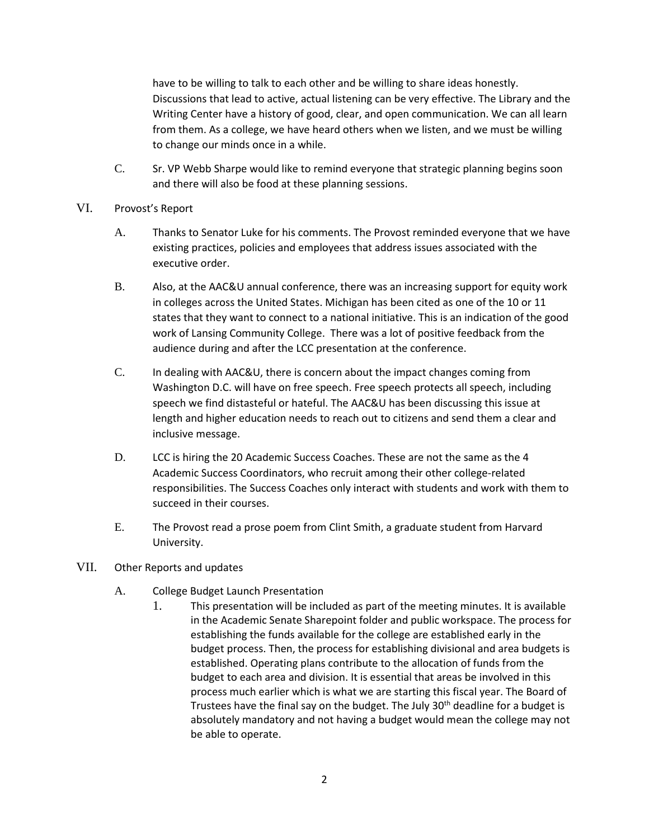have to be willing to talk to each other and be willing to share ideas honestly. Discussions that lead to active, actual listening can be very effective. The Library and the Writing Center have a history of good, clear, and open communication. We can all learn from them. As a college, we have heard others when we listen, and we must be willing to change our minds once in a while.

- C. Sr. VP Webb Sharpe would like to remind everyone that strategic planning begins soon and there will also be food at these planning sessions.
- VI. Provost's Report
	- A. Thanks to Senator Luke for his comments. The Provost reminded everyone that we have existing practices, policies and employees that address issues associated with the executive order.
	- B. Also, at the AAC&U annual conference, there was an increasing support for equity work in colleges across the United States. Michigan has been cited as one of the 10 or 11 states that they want to connect to a national initiative. This is an indication of the good work of Lansing Community College. There was a lot of positive feedback from the audience during and after the LCC presentation at the conference.
	- C. In dealing with AAC&U, there is concern about the impact changes coming from Washington D.C. will have on free speech. Free speech protects all speech, including speech we find distasteful or hateful. The AAC&U has been discussing this issue at length and higher education needs to reach out to citizens and send them a clear and inclusive message.
	- D. LCC is hiring the 20 Academic Success Coaches. These are not the same as the 4 Academic Success Coordinators, who recruit among their other college-related responsibilities. The Success Coaches only interact with students and work with them to succeed in their courses.
	- E. The Provost read a prose poem from Clint Smith, a graduate student from Harvard University.
- VII. Other Reports and updates
	- A. College Budget Launch Presentation
		- 1. This presentation will be included as part of the meeting minutes. It is available in the Academic Senate Sharepoint folder and public workspace. The process for establishing the funds available for the college are established early in the budget process. Then, the process for establishing divisional and area budgets is established. Operating plans contribute to the allocation of funds from the budget to each area and division. It is essential that areas be involved in this process much earlier which is what we are starting this fiscal year. The Board of Trustees have the final say on the budget. The July 30<sup>th</sup> deadline for a budget is absolutely mandatory and not having a budget would mean the college may not be able to operate.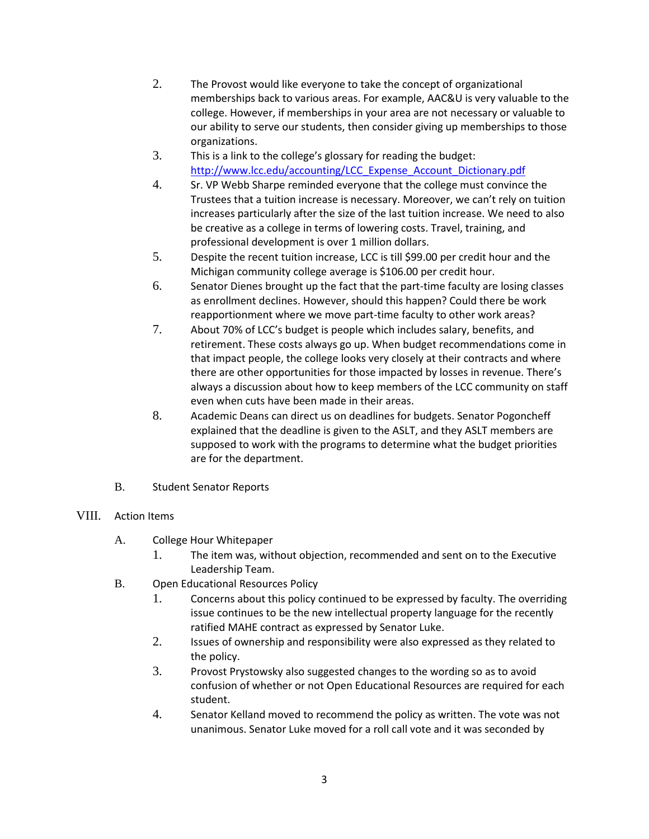- 2. The Provost would like everyone to take the concept of organizational memberships back to various areas. For example, AAC&U is very valuable to the college. However, if memberships in your area are not necessary or valuable to our ability to serve our students, then consider giving up memberships to those organizations.
- 3. This is a link to the college's glossary for reading the budget: [http://www.lcc.edu/accounting/LCC\\_Expense\\_Account\\_Dictionary.pdf](http://www.lcc.edu/accounting/LCC_Expense_Account_Dictionary.pdf)
- 4. Sr. VP Webb Sharpe reminded everyone that the college must convince the Trustees that a tuition increase is necessary. Moreover, we can't rely on tuition increases particularly after the size of the last tuition increase. We need to also be creative as a college in terms of lowering costs. Travel, training, and professional development is over 1 million dollars.
- 5. Despite the recent tuition increase, LCC is till \$99.00 per credit hour and the Michigan community college average is \$106.00 per credit hour.
- 6. Senator Dienes brought up the fact that the part-time faculty are losing classes as enrollment declines. However, should this happen? Could there be work reapportionment where we move part-time faculty to other work areas?
- 7. About 70% of LCC's budget is people which includes salary, benefits, and retirement. These costs always go up. When budget recommendations come in that impact people, the college looks very closely at their contracts and where there are other opportunities for those impacted by losses in revenue. There's always a discussion about how to keep members of the LCC community on staff even when cuts have been made in their areas.
- 8. Academic Deans can direct us on deadlines for budgets. Senator Pogoncheff explained that the deadline is given to the ASLT, and they ASLT members are supposed to work with the programs to determine what the budget priorities are for the department.
- B. Student Senator Reports

## VIII. Action Items

- A. College Hour Whitepaper
	- 1. The item was, without objection, recommended and sent on to the Executive Leadership Team.
- B. Open Educational Resources Policy
	- 1. Concerns about this policy continued to be expressed by faculty. The overriding issue continues to be the new intellectual property language for the recently ratified MAHE contract as expressed by Senator Luke.
	- 2. Issues of ownership and responsibility were also expressed as they related to the policy.
	- 3. Provost Prystowsky also suggested changes to the wording so as to avoid confusion of whether or not Open Educational Resources are required for each student.
	- 4. Senator Kelland moved to recommend the policy as written. The vote was not unanimous. Senator Luke moved for a roll call vote and it was seconded by